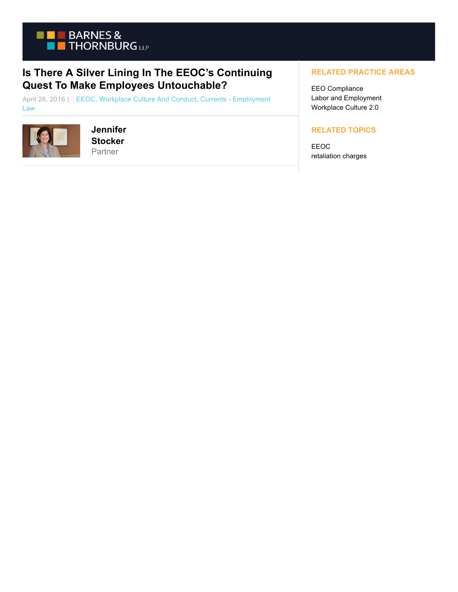

## **Is There A Silver Lining In The EEOC's Continuing Quest To Make Employees Untouchable?**

April 26, 2016 | EEOC, Workplace Culture And Conduct, Currents - Employment Law



## **Jennifer Stocker** Partner

## **RELATED PRACTICE AREAS**

EEO Compliance Labor and Employment Workplace Culture 2.0

## **RELATED TOPICS**

EEOC retaliation charges